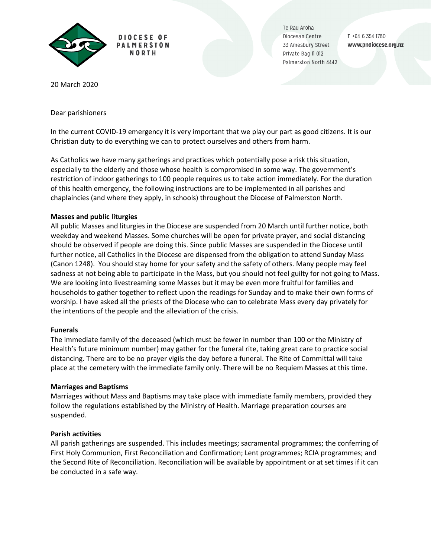

DIOCESE OF **PALMERSTON** N N D T U

Te Rau Aroha Diocesan Centre 33 Amesbury Street Private Bag II 012 Palmerston North 4442

T +64 6 354 1780 www.pndiocese.org.nz

20 March 2020

Dear parishioners

In the current COVID-19 emergency it is very important that we play our part as good citizens. It is our Christian duty to do everything we can to protect ourselves and others from harm.

As Catholics we have many gatherings and practices which potentially pose a risk this situation, especially to the elderly and those whose health is compromised in some way. The government's restriction of indoor gatherings to 100 people requires us to take action immediately. For the duration of this health emergency, the following instructions are to be implemented in all parishes and chaplaincies (and where they apply, in schools) throughout the Diocese of Palmerston North.

# **Masses and public liturgies**

All public Masses and liturgies in the Diocese are suspended from 20 March until further notice, both weekday and weekend Masses. Some churches will be open for private prayer, and social distancing should be observed if people are doing this. Since public Masses are suspended in the Diocese until further notice, all Catholics in the Diocese are dispensed from the obligation to attend Sunday Mass (Canon 1248). You should stay home for your safety and the safety of others. Many people may feel sadness at not being able to participate in the Mass, but you should not feel guilty for not going to Mass. We are looking into livestreaming some Masses but it may be even more fruitful for families and households to gather together to reflect upon the readings for Sunday and to make their own forms of worship. I have asked all the priests of the Diocese who can to celebrate Mass every day privately for the intentions of the people and the alleviation of the crisis.

## **Funerals**

The immediate family of the deceased (which must be fewer in number than 100 or the Ministry of Health's future minimum number) may gather for the funeral rite, taking great care to practice social distancing. There are to be no prayer vigils the day before a funeral. The Rite of Committal will take place at the cemetery with the immediate family only. There will be no Requiem Masses at this time.

## **Marriages and Baptisms**

Marriages without Mass and Baptisms may take place with immediate family members, provided they follow the regulations established by the Ministry of Health. Marriage preparation courses are suspended.

# **Parish activities**

All parish gatherings are suspended. This includes meetings; sacramental programmes; the conferring of First Holy Communion, First Reconciliation and Confirmation; Lent programmes; RCIA programmes; and the Second Rite of Reconciliation. Reconciliation will be available by appointment or at set times if it can be conducted in a safe way.